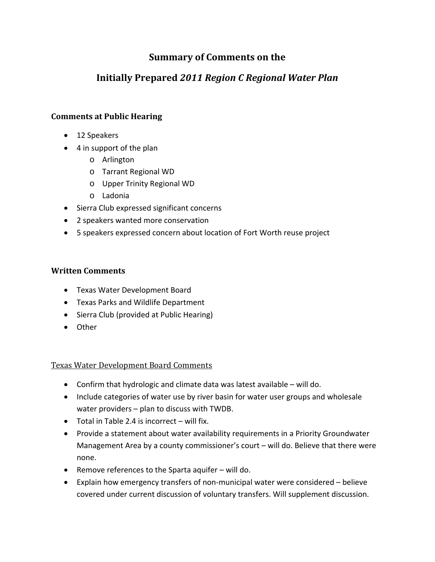## **Summary of Comments on the**

# **Initially Prepared** *2011 Region C Regional Water Plan*

### **Comments at Public Hearing**

- 12 Speakers
- 4 in support of the plan
	- o Arlington
	- o Tarrant Regional WD
	- o Upper Trinity Regional WD
	- o Ladonia
- Sierra Club expressed significant concerns
- 2 speakers wanted more conservation
- 5 speakers expressed concern about location of Fort Worth reuse project

#### **Written Comments**

- Texas Water Development Board
- Texas Parks and Wildlife Department
- Sierra Club (provided at Public Hearing)
- Other

Texas Water Development Board Comments

- Confirm that hydrologic and climate data was latest available will do.
- Include categories of water use by river basin for water user groups and wholesale water providers – plan to discuss with TWDB.
- Total in Table 2.4 is incorrect will fix.
- Provide a statement about water availability requirements in a Priority Groundwater Management Area by a county commissioner's court – will do. Believe that there were none.
- Remove references to the Sparta aquifer will do.
- Explain how emergency transfers of non‐municipal water were considered believe covered under current discussion of voluntary transfers. Will supplement discussion.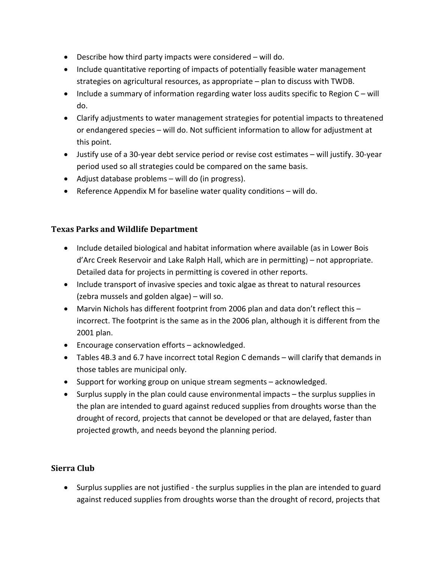- Describe how third party impacts were considered will do.
- Include quantitative reporting of impacts of potentially feasible water management strategies on agricultural resources, as appropriate – plan to discuss with TWDB.
- Include a summary of information regarding water loss audits specific to Region C will do.
- Clarify adjustments to water management strategies for potential impacts to threatened or endangered species – will do. Not sufficient information to allow for adjustment at this point.
- Justify use of a 30‐year debt service period or revise cost estimates will justify. 30‐year period used so all strategies could be compared on the same basis.
- Adjust database problems will do (in progress).
- Reference Appendix M for baseline water quality conditions will do.

#### **Texas Parks and Wildlife Department**

- Include detailed biological and habitat information where available (as in Lower Bois d'Arc Creek Reservoir and Lake Ralph Hall, which are in permitting) – not appropriate. Detailed data for projects in permitting is covered in other reports.
- Include transport of invasive species and toxic algae as threat to natural resources (zebra mussels and golden algae) – will so.
- Marvin Nichols has different footprint from 2006 plan and data don't reflect this incorrect. The footprint is the same as in the 2006 plan, although it is different from the 2001 plan.
- Encourage conservation efforts acknowledged.
- Tables 4B.3 and 6.7 have incorrect total Region C demands will clarify that demands in those tables are municipal only.
- Support for working group on unique stream segments acknowledged.
- Surplus supply in the plan could cause environmental impacts the surplus supplies in the plan are intended to guard against reduced supplies from droughts worse than the drought of record, projects that cannot be developed or that are delayed, faster than projected growth, and needs beyond the planning period.

## **Sierra Club**

• Surplus supplies are not justified - the surplus supplies in the plan are intended to guard against reduced supplies from droughts worse than the drought of record, projects that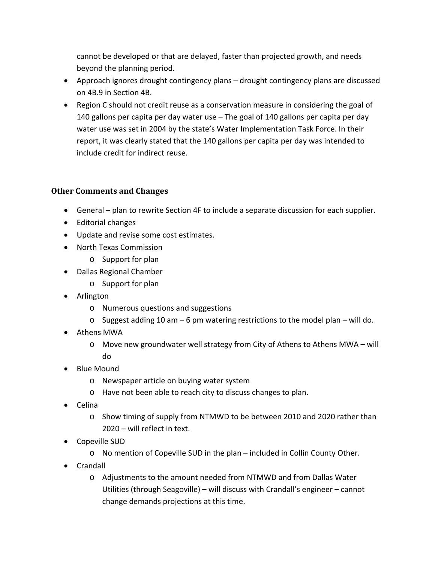cannot be developed or that are delayed, faster than projected growth, and needs beyond the planning period.

- Approach ignores drought contingency plans drought contingency plans are discussed on 4B.9 in Section 4B.
- Region C should not credit reuse as a conservation measure in considering the goal of 140 gallons per capita per day water use – The goal of 140 gallons per capita per day water use was set in 2004 by the state's Water Implementation Task Force. In their report, it was clearly stated that the 140 gallons per capita per day was intended to include credit for indirect reuse.

## **Other Comments and Changes**

- General plan to rewrite Section 4F to include a separate discussion for each supplier.
- Editorial changes
- Update and revise some cost estimates.
- North Texas Commission
	- o Support for plan
- Dallas Regional Chamber
	- o Support for plan
- Arlington
	- o Numerous questions and suggestions
	- $\circ$  Suggest adding 10 am 6 pm watering restrictions to the model plan will do.
- Athens MWA
	- $\circ$  Move new groundwater well strategy from City of Athens to Athens MWA will do
- Blue Mound
	- o Newspaper article on buying water system
	- o Have not been able to reach city to discuss changes to plan.
- Celina
	- o Show timing of supply from NTMWD to be between 2010 and 2020 rather than 2020 – will reflect in text.
- Copeville SUD
	- o No mention of Copeville SUD in the plan included in Collin County Other.
- Crandall
	- o Adjustments to the amount needed from NTMWD and from Dallas Water Utilities (through Seagoville) – will discuss with Crandall's engineer – cannot change demands projections at this time.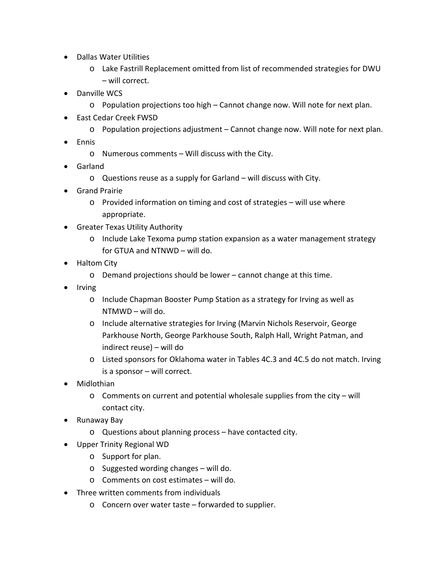- Dallas Water Utilities
	- o Lake Fastrill Replacement omitted from list of recommended strategies for DWU – will correct.
- Danville WCS
	- o Population projections too high Cannot change now. Will note for next plan.
- East Cedar Creek FWSD
	- o Population projections adjustment Cannot change now. Will note for next plan.
- Ennis
	- o Numerous comments Will discuss with the City.
- Garland
	- o Questions reuse as a supply for Garland will discuss with City.
- Grand Prairie
	- o Provided information on timing and cost of strategies will use where appropriate.
- Greater Texas Utility Authority
	- o Include Lake Texoma pump station expansion as a water management strategy for GTUA and NTNWD – will do.
- Haltom City
	- o Demand projections should be lower cannot change at this time.
- Irving
	- o Include Chapman Booster Pump Station as a strategy for Irving as well as NTMWD – will do.
	- o Include alternative strategies for Irving (Marvin Nichols Reservoir, George Parkhouse North, George Parkhouse South, Ralph Hall, Wright Patman, and indirect reuse) – will do
	- o Listed sponsors for Oklahoma water in Tables 4C.3 and 4C.5 do not match. Irving is a sponsor – will correct.
- Midlothian
	- o Comments on current and potential wholesale supplies from the city will contact city.
- Runaway Bay
	- o Questions about planning process have contacted city.
- Upper Trinity Regional WD
	- o Support for plan.
	- o Suggested wording changes will do.
	- o Comments on cost estimates will do.
- Three written comments from individuals
	- o Concern over water taste forwarded to supplier.